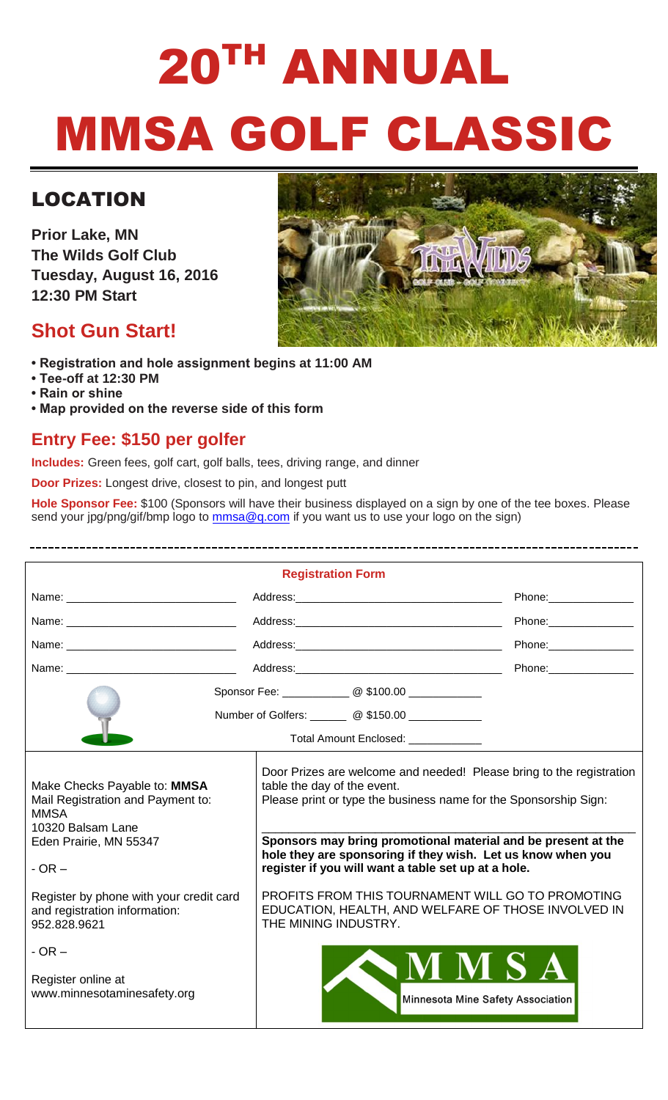# 20TH ANNUAL MMSA GOLF CLASSIC

# LOCATION

**Prior Lake, MN The Wilds Golf Club Tuesday, August 16, 2016 12:30 PM Start**

## **Shot Gun Start!**



- **Registration and hole assignment begins at 11:00 AM**
- **Tee-off at 12:30 PM**
- **Rain or shine**
- **Map provided on the reverse side of this form**

## **Entry Fee: \$150 per golfer**

**Includes:** Green fees, golf cart, golf balls, tees, driving range, and dinner

**Door Prizes:** Longest drive, closest to pin, and longest putt

**Hole Sponsor Fee:** \$100 (Sponsors will have their business displayed on a sign by one of the tee boxes. Please send your jpg/png/gif/bmp logo to [mmsa@q.com](mailto:mmsa@q.com) if you want us to use your logo on the sign)

| <b>Registration Form</b>                                                                                                                                                                 |                                                                                    |                                                                                                                                                                                                                                                                                                                                                                                      |  |
|------------------------------------------------------------------------------------------------------------------------------------------------------------------------------------------|------------------------------------------------------------------------------------|--------------------------------------------------------------------------------------------------------------------------------------------------------------------------------------------------------------------------------------------------------------------------------------------------------------------------------------------------------------------------------------|--|
|                                                                                                                                                                                          |                                                                                    |                                                                                                                                                                                                                                                                                                                                                                                      |  |
|                                                                                                                                                                                          |                                                                                    | Phone: Phone                                                                                                                                                                                                                                                                                                                                                                         |  |
|                                                                                                                                                                                          |                                                                                    | Phone: 2000                                                                                                                                                                                                                                                                                                                                                                          |  |
|                                                                                                                                                                                          |                                                                                    | Phone: The contract of the contract of the contract of the contract of the contract of the contract of the contract of the contract of the contract of the contract of the contract of the contract of the contract of the con                                                                                                                                                       |  |
|                                                                                                                                                                                          |                                                                                    |                                                                                                                                                                                                                                                                                                                                                                                      |  |
|                                                                                                                                                                                          | Number of Golfers: ________ @ \$150.00 ____________                                |                                                                                                                                                                                                                                                                                                                                                                                      |  |
| Total Amount Enclosed: ____________                                                                                                                                                      |                                                                                    |                                                                                                                                                                                                                                                                                                                                                                                      |  |
| Make Checks Payable to: MMSA<br>Mail Registration and Payment to:<br><b>MMSA</b><br>10320 Balsam Lane<br>Eden Prairie, MN 55347<br>$-$ OR $-$<br>Register by phone with your credit card | table the day of the event.<br>EDUCATION, HEALTH, AND WELFARE OF THOSE INVOLVED IN | Door Prizes are welcome and needed! Please bring to the registration<br>Please print or type the business name for the Sponsorship Sign:<br>Sponsors may bring promotional material and be present at the<br>hole they are sponsoring if they wish. Let us know when you<br>register if you will want a table set up at a hole.<br>PROFITS FROM THIS TOURNAMENT WILL GO TO PROMOTING |  |
| and registration information:<br>952.828.9621                                                                                                                                            | THE MINING INDUSTRY.                                                               |                                                                                                                                                                                                                                                                                                                                                                                      |  |
| $-OR -$<br>Register online at<br>www.minnesotaminesafety.org                                                                                                                             | NMSA<br>Minnesota Mine Safety Association                                          |                                                                                                                                                                                                                                                                                                                                                                                      |  |